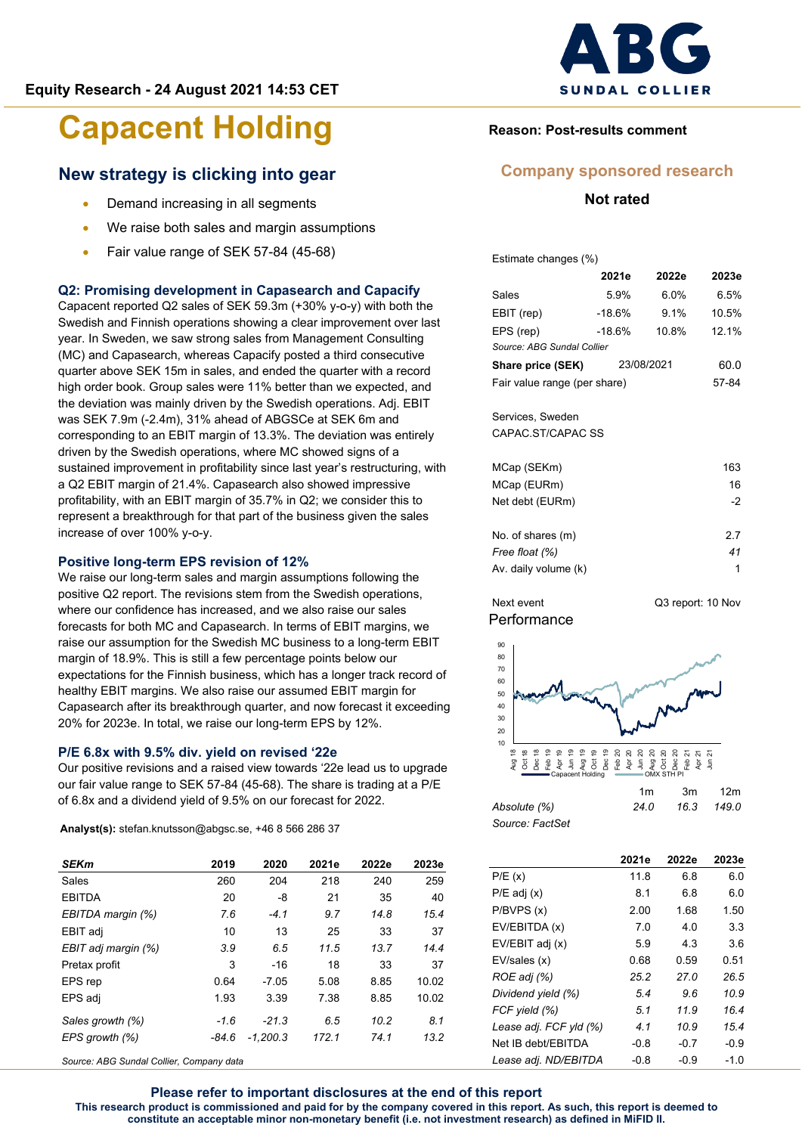#### **New strategy is clicking into gear**

- Demand increasing in all segments
- We raise both sales and margin assumptions
- Fair value range of SEK 57-84 (45-68)

#### **Q2: Promising development in Capasearch and Capacify**

Capacent reported Q2 sales of SEK 59.3m (+30% y-o-y) with both the Swedish and Finnish operations showing a clear improvement over last year. In Sweden, we saw strong sales from Management Consulting (MC) and Capasearch, whereas Capacify posted a third consecutive quarter above SEK 15m in sales, and ended the quarter with a record high order book. Group sales were 11% better than we expected, and the deviation was mainly driven by the Swedish operations. Adj. EBIT was SEK 7.9m (-2.4m), 31% ahead of ABGSCe at SEK 6m and corresponding to an EBIT margin of 13.3%. The deviation was entirely driven by the Swedish operations, where MC showed signs of a sustained improvement in profitability since last year's restructuring, with a Q2 EBIT margin of 21.4%. Capasearch also showed impressive profitability, with an EBIT margin of 35.7% in Q2; we consider this to represent a breakthrough for that part of the business given the sales increase of over 100% y-o-y.

#### **Positive long-term EPS revision of 12%**

We raise our long-term sales and margin assumptions following the positive Q2 report. The revisions stem from the Swedish operations, where our confidence has increased, and we also raise our sales forecasts for both MC and Capasearch. In terms of EBIT margins, we raise our assumption for the Swedish MC business to a long-term EBIT margin of 18.9%. This is still a few percentage points below our expectations for the Finnish business, which has a longer track record of healthy EBIT margins. We also raise our assumed EBIT margin for Capasearch after its breakthrough quarter, and now forecast it exceeding 20% for 2023e. In total, we raise our long-term EPS by 12%.

#### **P/E 6.8x with 9.5% div. yield on revised '22e**

Our positive revisions and a raised view towards '22e lead us to upgrade our fair value range to SEK 57-84 (45-68). The share is trading at a P/E of 6.8x and a dividend yield of 9.5% on our forecast for 2022.

**Analyst(s):** stefan.knutsson@abgsc.se, +46 8 566 286 37

| <b>SEKm</b>         | 2019   | 2020       | 2021e | 2022e | 2023e |
|---------------------|--------|------------|-------|-------|-------|
| Sales               | 260    | 204        | 218   | 240   | 259   |
| <b>EBITDA</b>       | 20     | -8         | 21    | 35    | 40    |
| EBITDA margin (%)   | 7.6    | $-41$      | 9.7   | 14.8  | 15.4  |
| EBIT adj            | 10     | 13         | 25    | 33    | 37    |
| EBIT adj margin (%) | 3.9    | 6.5        | 11.5  | 13.7  | 14.4  |
| Pretax profit       | 3      | $-16$      | 18    | 33    | 37    |
| EPS rep             | 0.64   | $-7.05$    | 5.08  | 8.85  | 10.02 |
| EPS adj             | 1.93   | 3.39       | 7.38  | 8.85  | 10.02 |
| Sales growth (%)    | $-1.6$ | $-21.3$    | 6.5   | 10.2  | 8.1   |
| EPS growth (%)      | -84.6  | $-1.200.3$ | 172.1 | 74.1  | 13.2  |

*Source: ABG Sundal Collier, Company data*



#### **Reason: Post-results comment**

#### **Company sponsored research**

**Not rated**

Estimate changes (%)

|                                       | 2021e  | 2022e   | 2023e |  |  |  |  |  |  |  |
|---------------------------------------|--------|---------|-------|--|--|--|--|--|--|--|
| Sales                                 | 5.9%   | $6.0\%$ | 6.5%  |  |  |  |  |  |  |  |
| EBIT (rep)                            | -18.6% | $9.1\%$ | 10.5% |  |  |  |  |  |  |  |
| EPS (rep)                             | -18.6% | 10.8%   | 12.1% |  |  |  |  |  |  |  |
| Source: ABG Sundal Collier            |        |         |       |  |  |  |  |  |  |  |
| <b>Share price (SEK)</b> 23/08/2021   | 60.0   |         |       |  |  |  |  |  |  |  |
| Fair value range (per share)<br>57-84 |        |         |       |  |  |  |  |  |  |  |
| Services, Sweden<br>CAPAC ST/CAPAC SS |        |         |       |  |  |  |  |  |  |  |
| MCap (SEKm)                           |        |         | 163   |  |  |  |  |  |  |  |
| MCap (EURm)                           |        |         | 16    |  |  |  |  |  |  |  |
| Net debt (EURm)                       |        |         | -2    |  |  |  |  |  |  |  |
| No. of shares (m)                     |        |         | 2.7   |  |  |  |  |  |  |  |

*Free float (%) 41* Av. daily volume (k) 1

**Performance** Next event Q3 report: 10 Nov



|                 | 1m   | .3m | 12m        |
|-----------------|------|-----|------------|
| Absolute (%)    | 24.0 |     | 16.3 149.0 |
| Source: FactSet |      |     |            |

|                        | 2021e  | 2022e  | 2023e  |
|------------------------|--------|--------|--------|
| P/E(x)                 | 11.8   | 6.8    | 6.0    |
| $P/E$ adj $(x)$        | 8.1    | 6.8    | 6.0    |
| P/BVPS(x)              | 2.00   | 1.68   | 1.50   |
| EV/EBITDA (x)          | 7.0    | 4.0    | 3.3    |
| EV/EBIT adj (x)        | 5.9    | 4.3    | 3.6    |
| EV/sales (x)           | 0.68   | 0.59   | 0.51   |
| ROE adj (%)            | 25.2   | 27.0   | 26.5   |
| Dividend yield (%)     | 5.4    | 9.6    | 10.9   |
| FCF yield (%)          | 5.1    | 11.9   | 16.4   |
| Lease adj. FCF yld (%) | 4.1    | 10.9   | 15.4   |
| Net IB debt/EBITDA     | $-0.8$ | $-0.7$ | $-0.9$ |
| Lease adj. ND/EBITDA   | $-0.8$ | $-0.9$ | $-1.0$ |

**Please refer to important disclosures at the end of this report This research product is commissioned and paid for by the company covered in this report. As such, this report is deemed to constitute an acceptable minor non-monetary benefit (i.e. not investment research) as defined in MiFID II.**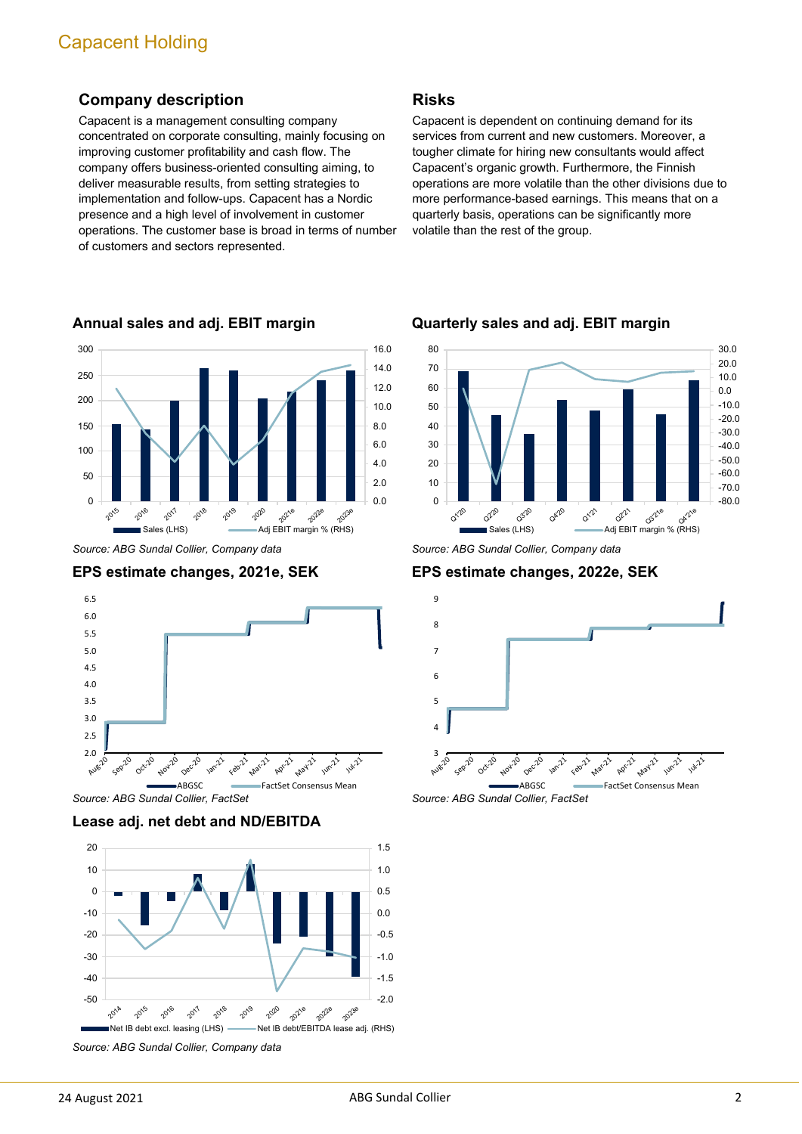#### **Company description**

Capacent is a management consulting company concentrated on corporate consulting, mainly focusing on improving customer profitability and cash flow. The company offers business-oriented consulting aiming, to deliver measurable results, from setting strategies to implementation and follow-ups. Capacent has a Nordic presence and a high level of involvement in customer operations. The customer base is broad in terms of number of customers and sectors represented.



**Annual sales and adj. EBIT margin**

*Source: ABG Sundal Collier, Company data*





*Source: ABG Sundal Collier, FactSet*

**Lease adj. net debt and ND/EBITDA**



*Source: ABG Sundal Collier, Company data*

#### **Risks**

Capacent is dependent on continuing demand for its services from current and new customers. Moreover, a tougher climate for hiring new consultants would affect Capacent's organic growth. Furthermore, the Finnish operations are more volatile than the other divisions due to more performance-based earnings. This means that on a quarterly basis, operations can be significantly more volatile than the rest of the group.



**Quarterly sales and adj. EBIT margin**

*Source: ABG Sundal Collier, Company data*

**EPS estimate changes, 2022e, SEK**



*Source: ABG Sundal Collier, FactSet*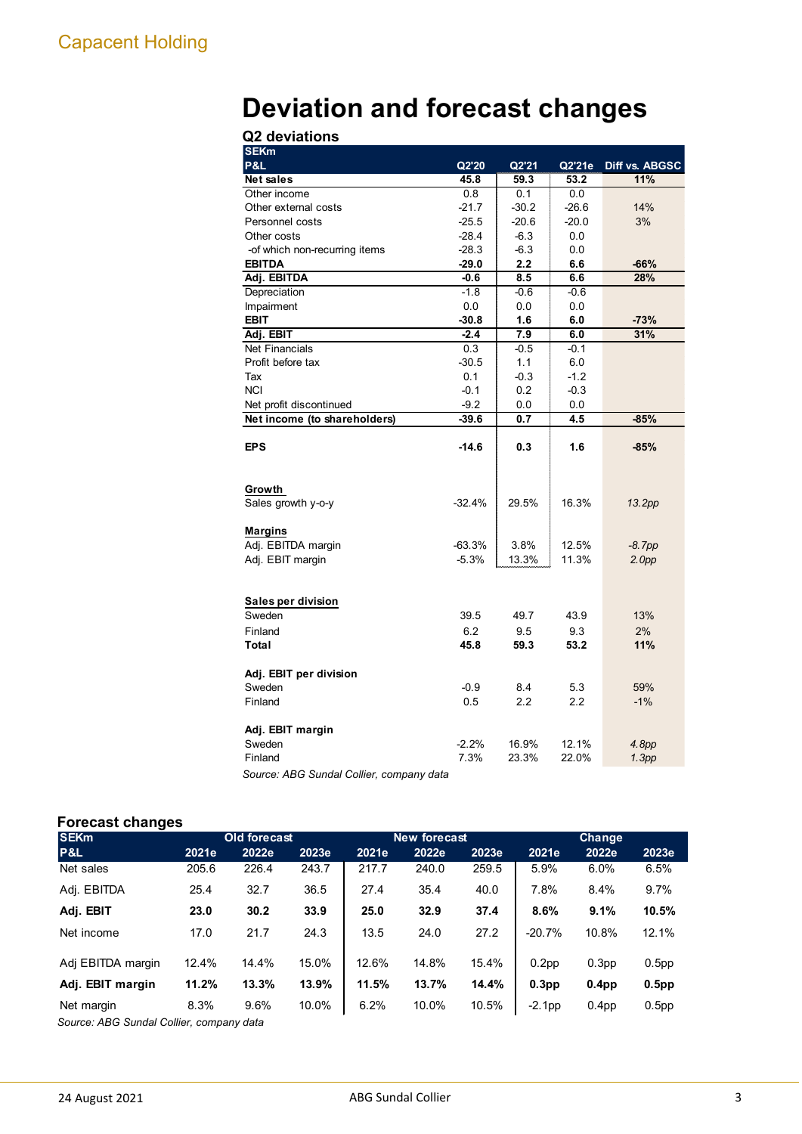# **Deviation and forecast changes**

| <b>SEKm</b>                              |          |         |                  |                   |
|------------------------------------------|----------|---------|------------------|-------------------|
| P&L                                      | Q2'20    | Q2'21   | Q2'21e           | Diff vs. ABGSC    |
| <b>Net sales</b>                         | 45.8     | 59.3    | 53.2             | 11%               |
| Other income                             | 0.8      | 0.1     | 0.0              |                   |
| Other external costs                     | $-21.7$  | $-30.2$ | $-26.6$          | 14%               |
| Personnel costs                          | $-25.5$  | $-20.6$ | $-20.0$          | 3%                |
| Other costs                              | $-28.4$  | $-6.3$  | 0.0              |                   |
| -of which non-recurring items            | $-28.3$  | $-6.3$  | 0.0              |                   |
| <b>EBITDA</b>                            | $-29.0$  | 2.2     | 6.6              | $-66%$            |
| Adj. EBITDA                              | $-0.6$   | 8.5     | 6.6              | 28%               |
| Depreciation                             | $-1.8$   | $-0.6$  | $-0.6$           |                   |
| Impairment                               | 0.0      | 0.0     | 0.0              |                   |
| <b>EBIT</b>                              | $-30.8$  | 1.6     | 6.0              | $-73%$            |
| Adj. EBIT                                | $-2.4$   | 7.9     | 6.0              | 31%               |
| <b>Net Financials</b>                    | 0.3      | $-0.5$  | $-0.1$           |                   |
| Profit before tax                        | $-30.5$  | 1.1     | 6.0              |                   |
| Tax                                      | 0.1      | $-0.3$  | $-1.2$           |                   |
| <b>NCI</b>                               | $-0.1$   | 0.2     | $-0.3$           |                   |
| Net profit discontinued                  | $-9.2$   | 0.0     | 0.0              |                   |
| Net income (to shareholders)             | $-39.6$  | 0.7     | 4.5              | $-85%$            |
|                                          |          |         |                  |                   |
| <b>EPS</b>                               | $-14.6$  | 0.3     | 1.6              | $-85%$            |
|                                          |          |         |                  |                   |
|                                          |          |         |                  |                   |
| Growth                                   |          |         |                  |                   |
| Sales growth y-o-y                       | $-32.4%$ | 29.5%   | 16.3%            | 13.2pp            |
|                                          |          |         |                  |                   |
| <b>Margins</b>                           |          |         |                  |                   |
| Adj. EBITDA margin                       | $-63.3%$ | 3.8%    | 12.5%            | $-8.7pp$          |
| Adj. EBIT margin                         | $-5.3%$  | 13.3%   | 11.3%            | 2.0 <sub>pp</sub> |
|                                          |          |         |                  |                   |
|                                          |          |         |                  |                   |
| Sales per division                       |          |         |                  |                   |
| Sweden                                   | 39.5     | 49.7    | 43.9             | 13%               |
| Finland                                  | 6.2      | 9.5     | 9.3              | 2%                |
| Total                                    | 45.8     | 59.3    | 53.2             | 11%               |
|                                          |          |         |                  |                   |
| Adj. EBIT per division                   |          |         |                  |                   |
| Sweden                                   | $-0.9$   | 8.4     | 5.3              | 59%               |
| Finland                                  | 0.5      | 2.2     | $2.2\phantom{0}$ | $-1%$             |
|                                          |          |         |                  |                   |
| Adj. EBIT margin                         |          |         |                  |                   |
| Sweden                                   | $-2.2%$  | 16.9%   | 12.1%            | 4.8pp             |
| Finland                                  | 7.3%     | 23.3%   | 22.0%            | 1.3pp             |
| Source: ABG Sundal Collier, company data |          |         |                  |                   |

#### **Forecast changes**

| -<br><b>SEKm</b>                          |       | <b>Old forecast</b> |       |       | <b>New forecast</b> |       | Change            |                   |                   |  |
|-------------------------------------------|-------|---------------------|-------|-------|---------------------|-------|-------------------|-------------------|-------------------|--|
| P&L                                       | 2021e | 2022e               | 2023e | 2021e | 2022e               | 2023e | 2021e             | 2022e             | 2023e             |  |
| Net sales                                 | 205.6 | 226.4               | 243.7 | 217.7 | 240.0               | 259.5 | 5.9%              | 6.0%              | 6.5%              |  |
| Adj. EBITDA                               | 25.4  | 32.7                | 36.5  | 27.4  | 35.4                | 40.0  | 7.8%              | 8.4%              | 9.7%              |  |
| Adj. EBIT                                 | 23.0  | 30.2                | 33.9  | 25.0  | 32.9                | 37.4  | 8.6%              | 9.1%              | 10.5%             |  |
| Net income                                | 17.0  | 21.7                | 24.3  | 13.5  | 24.0                | 27.2  | $-20.7%$          | 10.8%             | 12.1%             |  |
| Adj EBITDA margin                         | 12.4% | 14.4%               | 15.0% | 12.6% | 14.8%               | 15.4% | 0.2 <sub>pp</sub> | 0.3 <sub>pp</sub> | 0.5 <sub>pp</sub> |  |
| Adj. EBIT margin                          | 11.2% | 13.3%               | 13.9% | 11.5% | 13.7%               | 14.4% | 0.3 <sub>pp</sub> | 0.4 <sub>pp</sub> | 0.5 <sub>pp</sub> |  |
| Net margin<br>$\sim$ $\sim$ $\sim$ $\sim$ | 8.3%  | 9.6%                | 10.0% | 6.2%  | 10.0%               | 10.5% | $-2.1$ pp         | 0.4 <sub>pp</sub> | 0.5 <sub>pp</sub> |  |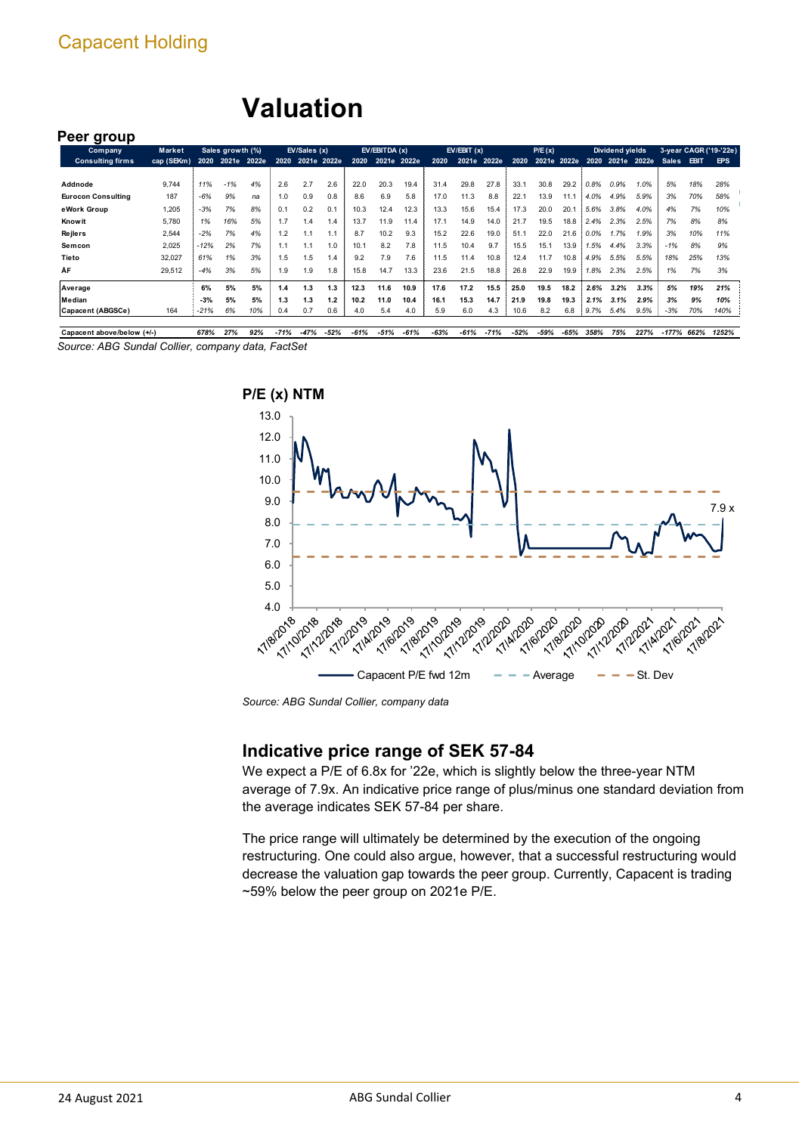## **Valuation**

#### **Peer group**

| ້<br><b>Company</b>       | Market     |        | Sales growth (%) |             |      | EV/Sales (x) |     |      | EV/EBITDA(x) |      |      | EV/EBIT(x) |       |      | P/E(x)      |      |      | Dividend yields |       |              |             | 3-year CAGR ('19-'22e) |
|---------------------------|------------|--------|------------------|-------------|------|--------------|-----|------|--------------|------|------|------------|-------|------|-------------|------|------|-----------------|-------|--------------|-------------|------------------------|
| <b>Consulting firms</b>   | cap (SEKm) | 2020   |                  | 2021e 2022e | 2020 | 2021e 2022e  |     | 2020 | 2021e 2022e  |      | 2020 | 2021e      | 2022e | 2020 | 2021e 2022e |      | 2020 | 2021e           | 2022e | <b>Sales</b> | <b>EBIT</b> | EPS                    |
|                           |            |        |                  |             |      |              |     |      |              |      |      |            |       |      |             |      |      |                 |       |              |             |                        |
| Addnode                   | 9.744      | 11%    | $-1%$            | 4%          | 2.6  | 2.7          | 2.6 | 22.0 | 20.3         | 19.4 | 31.4 | 29.8       | 27.8  | 33.1 | 30.8        | 29.2 | 0.8% | 0.9%            | 1.0%  | 5%           | 18%         | 28%                    |
| <b>Eurocon Consulting</b> | 187        | $-6%$  | 9%               | na          | 1.0  | 0.9          | 0.8 | 8.6  | 6.9          | 5.8  | 17.0 | 11.3       | 8.8   | 22.1 | 13.9        | 11.1 | 4.0% | 4.9%            | 5.9%  | 3%           | 70%         | 58%                    |
| eWork Group               | 1,205      | $-3%$  | 7%               | 8%          | 0.1  | 0.2          | 0.1 | 10.3 | 12.4         | 12.3 | 13.3 | 15.6       | 15.4  | 17.3 | 20.0        | 20.1 | 5.6% | 3.8%            | 4.0%  | 4%           | 7%          | 10%                    |
| Know it                   | 5.780      | 1%     | 16%              | 5%          | 1.7  | 1.4          | 1.4 | 13.7 | 11.9         | 11.4 | 17.1 | 14.9       | 14.0  | 21.7 | 19.5        | 18.8 | 2.4% | 2.3%            | 2.5%  | 7%           | 8%          | 8%                     |
| <b>Rejlers</b>            | 2,544      | $-2%$  | 7%               | 4%          | 1.2  |              | 1.1 | 8.7  | 10.2         | 9.3  | 15.2 | 22.6       | 19.0  | 51.1 | 22.0        | 21.6 | 0.0% | 1.7%            | 1.9%  | 3%           | 10%         | 11%                    |
| Semcon                    | 2.025      | $-12%$ | 2%               | 7%          | 1.1  |              | 1.0 | 10.1 | 8.2          | 7.8  | 11.5 | 10.4       | 9.7   | 15.5 | 15.1        | 13.9 | 1.5% | 4.4%            | 3.3%  | $-1%$        | 8%          | 9%                     |
| Tieto                     | 32,027     | 61%    | 1%               | 3%          | 1.5  | 1.5          | 1.4 | 9.2  | 7.9          | 7.6  | 11.5 | 11.4       | 10.8  | 12.4 | 11.7        | 10.8 | 4.9% | 5.5%            | 5.5%  | 18%          | 25%         | 13%                    |
| ÅF                        | 29,512     | $-4%$  | 3%               | 5%          | 1.9  | 1.9          | 1.8 | 15.8 | 14.7         | 13.3 | 23.6 | 21.5       | 18.8  | 26.8 | 22.9        | 19.9 | 1.8% | 2.3%            | 2.5%  | 1%           | 7%          | 3%                     |
| Average                   |            | 6%     | 5%               | 5%          | 1.4  | 1.3          | 1.3 | 12.3 | 11.6         | 10.9 | 17.6 | 17.2       | 15.5  | 25.0 | 19.5        | 18.2 | 2.6% | 3.2%            | 3.3%  | 5%           | 19%         | 21%                    |
| Median                    |            | $-3%$  | 5%               | 5%          | 1.3  | 1.3          | 1.2 | 10.2 | 11.0         | 10.4 | 16.1 | 15.3       | 14.7  | 21.9 | 19.8        | 19.3 | 2.1% | 3.1%            | 2.9%  | 3%           | 9%          | 10%                    |
| Capacent (ABGSCe)         | 164        | $-21%$ | 6%               | 10%         | 0.4  | 0.7          | 0.6 | 4.0  | 5.4          | 4.0  | 5.9  | 6.0        | 4.3   | 10.6 | 8.2         | 6.8  | 9.7% | 5.4%            | 9.5%  | $-3%$        | 70%         | 140%                   |
|                           |            |        |                  |             |      |              |     |      |              |      |      |            |       |      |             |      |      |                 |       |              |             |                        |

*Source: ABG Sundal Collier, company data, FactSet* Capacent above/below (+/-) 678% 27% 92% -71% -47% -52% -61% -51% -61% -63% -61% -71% -52% -59% -65% 358% 75% 227% -177% 662% 1252%



*Source: ABG Sundal Collier, company data*

#### **Indicative price range of SEK 57-84**

We expect a P/E of 6.8x for '22e, which is slightly below the three-year NTM average of 7.9x. An indicative price range of plus/minus one standard deviation from the average indicates SEK 57-84 per share.

The price range will ultimately be determined by the execution of the ongoing restructuring. One could also argue, however, that a successful restructuring would decrease the valuation gap towards the peer group. Currently, Capacent is trading ~59% below the peer group on 2021e P/E.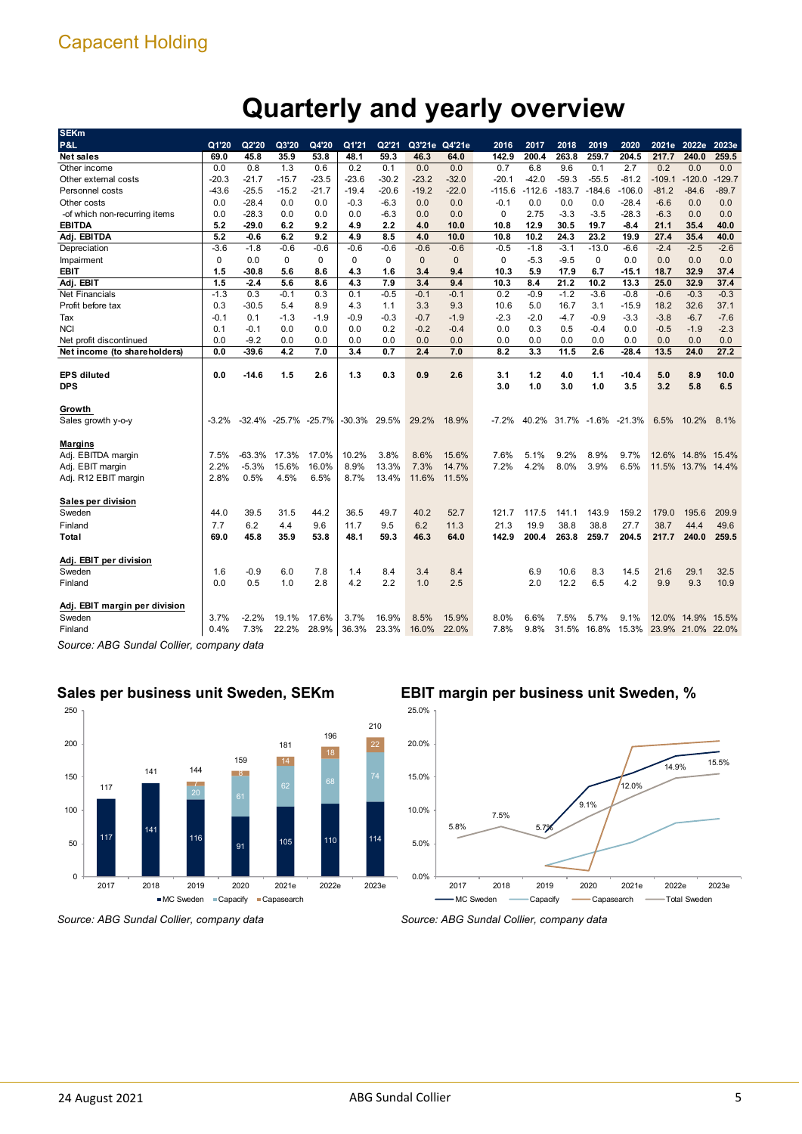# **Quarterly and yearly overview**

| P&L                           | Q1'20        | Q2'20           | Q3'20                | Q4'20                | Q1'21    | Q2'21          | Q3'21e Q4'21e |                | 2016         | 2017         | 2018     | 2019     | 2020                      |          | 2021e 2022e                      | 2023e    |
|-------------------------------|--------------|-----------------|----------------------|----------------------|----------|----------------|---------------|----------------|--------------|--------------|----------|----------|---------------------------|----------|----------------------------------|----------|
| <b>Net sales</b>              | 69.0         | 45.8            | 35.9                 | 53.8                 | 48.1     | 59.3           | 46.3          | 64.0           | 142.9        | 200.4        | 263.8    | 259.7    | 204.5                     | 217.7    | 240.0                            | 259.5    |
| Other income                  | 0.0          | 0.8             | 1.3                  | 0.6                  | 0.2      | 0.1            | 0.0           | 0.0            | 0.7          | 6.8          | 9.6      | 0.1      | 2.7                       | 0.2      | 0.0                              | 0.0      |
| Other external costs          | $-20.3$      | -21.7           | $-15.7$              | $-23.5$              | $-23.6$  | $-30.2$        | $-23.2$       | $-32.0$        | $-20.1$      | $-42.0$      | $-59.3$  | $-55.5$  | $-81.2$                   | $-109.1$ | $-120.0$                         | $-129.7$ |
| Personnel costs               | -43.6        | $-25.5$         | $-15.2$              | $-21.7$              | -19.4    | $-20.6$        | $-19.2$       | $-22.0$        | $-115.6$     | $-112.6$     | $-183.7$ | $-184.6$ | $-106.0$                  | $-81.2$  | $-84.6$                          | $-89.7$  |
| Other costs                   | 0.0          | $-28.4$         | 0.0                  | 0.0                  | $-0.3$   | $-6.3$         | 0.0           | 0.0            | $-0.1$       | 0.0          | 0.0      | 0.0      | $-28.4$                   | $-6.6$   | 0.0                              | 0.0      |
| -of which non-recurring items | 0.0          | $-28.3$         | 0.0                  | 0.0                  | 0.0      | $-6.3$         | 0.0           | 0.0            | 0            | 2.75         | $-3.3$   | $-3.5$   | $-28.3$                   | $-6.3$   | 0.0                              | 0.0      |
| <b>EBITDA</b>                 | 5.2          | -29.0           | 6.2                  | 9.2                  | 4.9      | 2.2            | 4.0           | 10.0           | 10.8         | 12.9         | 30.5     | 19.7     | -8.4                      | 21.1     | 35.4                             | 40.0     |
| Adj. EBITDA                   | 5.2          | $-0.6$          | 6.2                  | 9.2                  | 4.9      | 8.5            | 4.0           | 10.0           | 10.8         | 10.2         | 24.3     | 23.2     | 19.9                      | 27.4     | 35.4                             | 40.0     |
| Depreciation                  | $-3.6$       | $-1.8$          | $-0.6$               | $-0.6$               | $-0.6$   | $-0.6$         | $-0.6$        | $-0.6$         | $-0.5$       | $-1.8$       | $-3.1$   | $-13.0$  | $-6.6$                    | $-2.4$   | $-2.5$                           | $-2.6$   |
| Impairment                    | 0            | 0.0             | 0                    | $\mathbf 0$          | 0        | 0              | $\mathbf{0}$  | $\mathbf{0}$   | 0            | $-5.3$       | $-9.5$   | 0        | 0.0                       | 0.0      | 0.0                              | 0.0      |
| <b>EBIT</b>                   | 1.5          | -30.8           | 5.6                  | 8.6                  | 4.3      | 1.6            | 3.4           | 9.4            | 10.3         | 5.9          | 17.9     | 6.7      | $-15.1$                   | 18.7     | 32.9                             | 37.4     |
| Adj. EBIT                     | 1.5          | $-2.4$          | 5.6                  | 8.6                  | 4.3      | 7.9            | 3.4           | 9.4            | 10.3         | 8.4          | 21.2     | 10.2     | 13.3                      | 25.0     | 32.9                             | 37.4     |
| <b>Net Financials</b>         | $-1.3$       | 0.3             | $-0.1$               | 0.3                  | 0.1      | $-0.5$         | $-0.1$        | $-0.1$         | 0.2          | $-0.9$       | $-1.2$   | $-3.6$   | $-0.8$                    | $-0.6$   | $-0.3$                           | $-0.3$   |
| Profit before tax             | 0.3          | $-30.5$         | 5.4                  | 8.9                  | 4.3      | 1.1            | 3.3           | 9.3            | 10.6         | 5.0          | 16.7     | 3.1      | $-15.9$                   | 18.2     | 32.6                             | 37.1     |
| Tax                           | $-0.1$       | 0.1             | $-1.3$               | $-1.9$               | $-0.9$   | $-0.3$         | $-0.7$        | $-1.9$         | $-2.3$       | $-2.0$       | $-4.7$   | $-0.9$   | $-3.3$                    | $-3.8$   | $-6.7$                           | $-7.6$   |
| <b>NCI</b>                    | 0.1          | $-0.1$          | 0.0                  | 0.0                  | 0.0      | 0.2            | $-0.2$        | $-0.4$         | 0.0          | 0.3          | 0.5      | $-0.4$   | 0.0                       | $-0.5$   | $-1.9$                           | $-2.3$   |
| Net profit discontinued       | 0.0          | $-9.2$          | 0.0                  | 0.0                  | 0.0      | 0.0            | 0.0           | 0.0            | 0.0          | 0.0          | 0.0      | 0.0      | 0.0                       | 0.0      | 0.0                              | 0.0      |
| Net income (to shareholders)  | 0.0          | $-39.6$         | 4.2                  | 7.0                  | 3.4      | 0.7            | 2.4           | 7.0            | 8.2          | 3.3          | 11.5     | 2.6      | $-28.4$                   | 13.5     | 24.0                             | 27.2     |
|                               |              |                 |                      |                      |          |                |               |                |              |              |          |          |                           |          |                                  |          |
| <b>EPS diluted</b>            | 0.0          | -14.6           | 1.5                  | 2.6                  | 1.3      | 0.3            | 0.9           | 2.6            | 3.1          | 1.2          | 4.0      | 1.1      | $-10.4$                   | 5.0      | 8.9                              | 10.0     |
| <b>DPS</b>                    |              |                 |                      |                      |          |                |               |                | 3.0          | 1.0          | 3.0      | 1.0      | 3.5                       | 3.2      | 5.8                              | 6.5      |
|                               |              |                 |                      |                      |          |                |               |                |              |              |          |          |                           |          |                                  |          |
| Growth                        |              |                 |                      |                      |          |                |               |                |              |              |          |          |                           |          |                                  |          |
| Sales growth y-o-y            | $-3.2%$      |                 | -32.4% -25.7% -25.7% |                      | $-30.3%$ | 29.5%          |               |                |              |              |          |          |                           |          |                                  |          |
|                               |              |                 |                      |                      |          |                | 29.2%         | 18.9%          | $-7.2%$      |              |          |          | 40.2% 31.7% -1.6% -21.3%  | 6.5%     | 10.2%                            | 8.1%     |
|                               |              |                 |                      |                      |          |                |               |                |              |              |          |          |                           |          |                                  |          |
| <b>Margins</b>                |              |                 |                      |                      |          |                |               |                |              |              |          |          |                           |          |                                  |          |
| Adj. EBITDA margin            | 7.5%         | -63.3%          | 17.3%                | 17.0%                | 10.2%    | 3.8%           | 8.6%          | 15.6%          | 7.6%         | 5.1%         | 9.2%     | 8.9%     | 9.7%                      |          | 12.6% 14.8% 15.4%                |          |
| Adj. EBIT margin              | 2.2%         | $-5.3%$         | 15.6%                | 16.0%                | 8.9%     | 13.3%          | 7.3%          | 14.7%          | 7.2%         | 4.2%         | 8.0%     | 3.9%     | 6.5%                      |          | 11.5% 13.7% 14.4%                |          |
| Adj. R12 EBIT margin          | 2.8%         | 0.5%            | 4.5%                 | 6.5%                 | 8.7%     | 13.4%          | 11.6%         | 11.5%          |              |              |          |          |                           |          |                                  |          |
|                               |              |                 |                      |                      |          |                |               |                |              |              |          |          |                           |          |                                  |          |
| Sales per division            |              |                 |                      |                      |          |                |               |                |              |              |          |          |                           |          |                                  |          |
| Sweden                        | 44.0         | 39.5            | 31.5                 | 44.2                 | 36.5     | 49.7           | 40.2          | 52.7           | 121.7        | 117.5        | 141.1    | 143.9    | 159.2                     | 179.0    | 195.6                            | 209.9    |
| Finland                       | 7.7          | 6.2             | 4.4                  | 9.6                  | 11.7     | 9.5            | 6.2           | 11.3           | 21.3         | 19.9         | 38.8     | 38.8     | 27.7                      | 38.7     | 44.4                             | 49.6     |
| Total                         | 69.0         | 45.8            | 35.9                 | 53.8                 | 48.1     | 59.3           | 46.3          | 64.0           | 142.9        | 200.4        | 263.8    | 259.7    | 204.5                     | 217.7    | 240.0                            | 259.5    |
|                               |              |                 |                      |                      |          |                |               |                |              |              |          |          |                           |          |                                  |          |
| Adj. EBIT per division        |              |                 |                      |                      |          |                |               |                |              |              |          |          |                           |          |                                  |          |
| Sweden                        | 1.6          | $-0.9$          | 6.0                  | 7.8                  | 1.4      | 8.4            | 3.4           | 8.4            |              | 6.9          | 10.6     | 8.3      | 14.5                      | 21.6     | 29.1                             | 32.5     |
| Finland                       | 0.0          | 0.5             | 1.0                  | 2.8                  | 4.2      | 2.2            | 1.0           | 2.5            |              | 2.0          | 12.2     | 6.5      | 4.2                       | 9.9      | 9.3                              | 10.9     |
|                               |              |                 |                      |                      |          |                |               |                |              |              |          |          |                           |          |                                  |          |
| Adj. EBIT margin per division |              |                 |                      |                      |          |                |               |                |              |              |          |          |                           |          |                                  |          |
| Sweden<br>Finland             | 3.7%<br>0.4% | $-2.2%$<br>7.3% | 19.1%<br>22.2%       | 17.6%<br>28.9% 36.3% | 3.7%     | 16.9%<br>23.3% | 8.5%<br>16.0% | 15.9%<br>22.0% | 8.0%<br>7.8% | 6.6%<br>9.8% | 7.5%     | 5.7%     | 9.1%<br>31.5% 16.8% 15.3% |          | 12.0% 14.9%<br>23.9% 21.0% 22.0% | 15.5%    |

*Source: ABG Sundal Collier, company data*

#### **Sales per business unit Sweden, SEKm**



#### **EBIT margin per business unit Sweden, %**



*Source: ABG Sundal Collier, company data*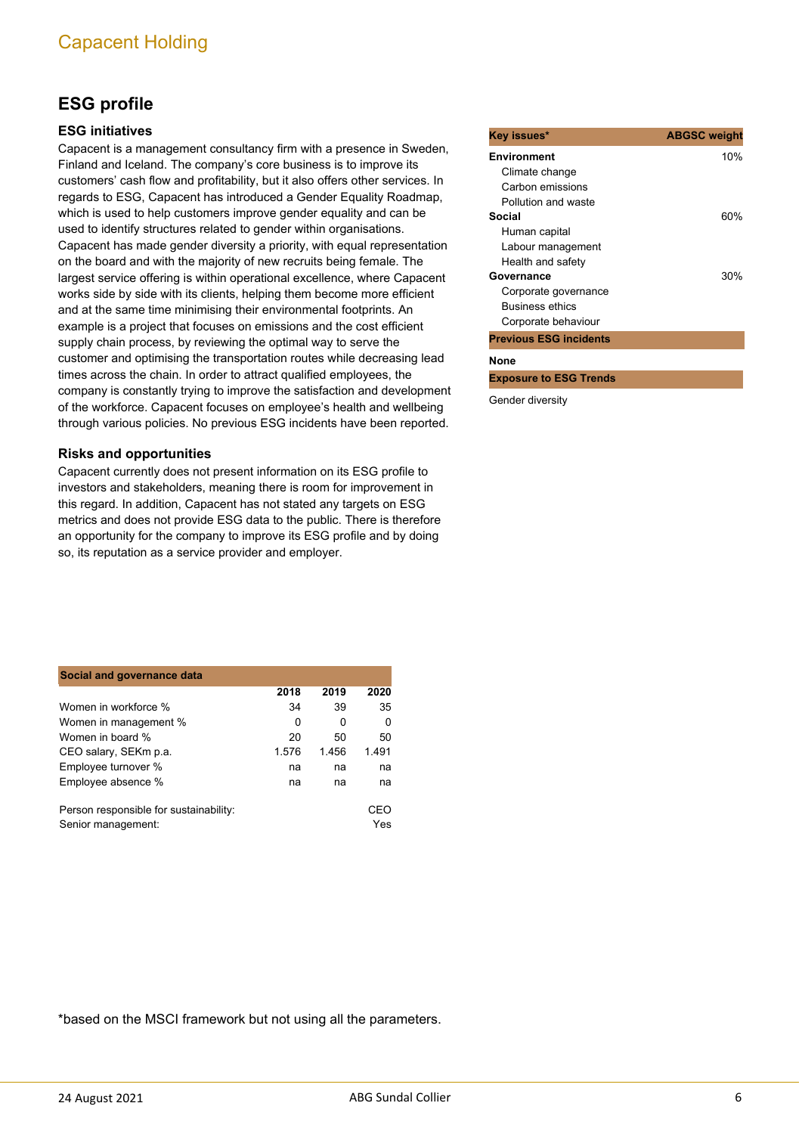### **ESG profile**

#### **ESG initiatives**

Capacent is a management consultancy firm with a presence in Sweden, Finland and Iceland. The company's core business is to improve its customers' cash flow and profitability, but it also offers other services. In regards to ESG, Capacent has introduced a Gender Equality Roadmap, which is used to help customers improve gender equality and can be used to identify structures related to gender within organisations. Capacent has made gender diversity a priority, with equal representation on the board and with the majority of new recruits being female. The largest service offering is within operational excellence, where Capacent works side by side with its clients, helping them become more efficient and at the same time minimising their environmental footprints. An example is a project that focuses on emissions and the cost efficient supply chain process, by reviewing the optimal way to serve the customer and optimising the transportation routes while decreasing lead times across the chain. In order to attract qualified employees, the company is constantly trying to improve the satisfaction and development of the workforce. Capacent focuses on employee's health and wellbeing through various policies. No previous ESG incidents have been reported.

#### **Risks and opportunities**

Capacent currently does not present information on its ESG profile to investors and stakeholders, meaning there is room for improvement in this regard. In addition, Capacent has not stated any targets on ESG metrics and does not provide ESG data to the public. There is therefore an opportunity for the company to improve its ESG profile and by doing so, its reputation as a service provider and employer.

| Social and governance data                                   |       |       |            |
|--------------------------------------------------------------|-------|-------|------------|
|                                                              | 2018  | 2019  | 2020       |
| Women in workforce %                                         | 34    | 39    | 35         |
| Women in management %                                        | 0     | 0     | O          |
| Women in board %                                             | 20    | 50    | 50         |
| CEO salary, SEKm p.a.                                        | 1.576 | 1.456 | 1.491      |
| Employee turnover %                                          | na    | na    | na         |
| Employee absence %                                           | na    | na    | na         |
| Person responsible for sustainability:<br>Senior management: |       |       | CEO<br>Yes |

| Key issues*                   | <b>ABGSC weight</b> |
|-------------------------------|---------------------|
| <b>Environment</b>            | 10%                 |
| Climate change                |                     |
| Carbon emissions              |                     |
| Pollution and waste           |                     |
| Social                        | 60%                 |
| Human capital                 |                     |
| Labour management             |                     |
| Health and safety             |                     |
| Governance                    | 30%                 |
| Corporate governance          |                     |
| <b>Business ethics</b>        |                     |
| Corporate behaviour           |                     |
| <b>Previous ESG incidents</b> |                     |
| None                          |                     |
| <b>Exposure to ESG Trends</b> |                     |
|                               |                     |

Gender diversity

\*based on the MSCI framework but not using all the parameters.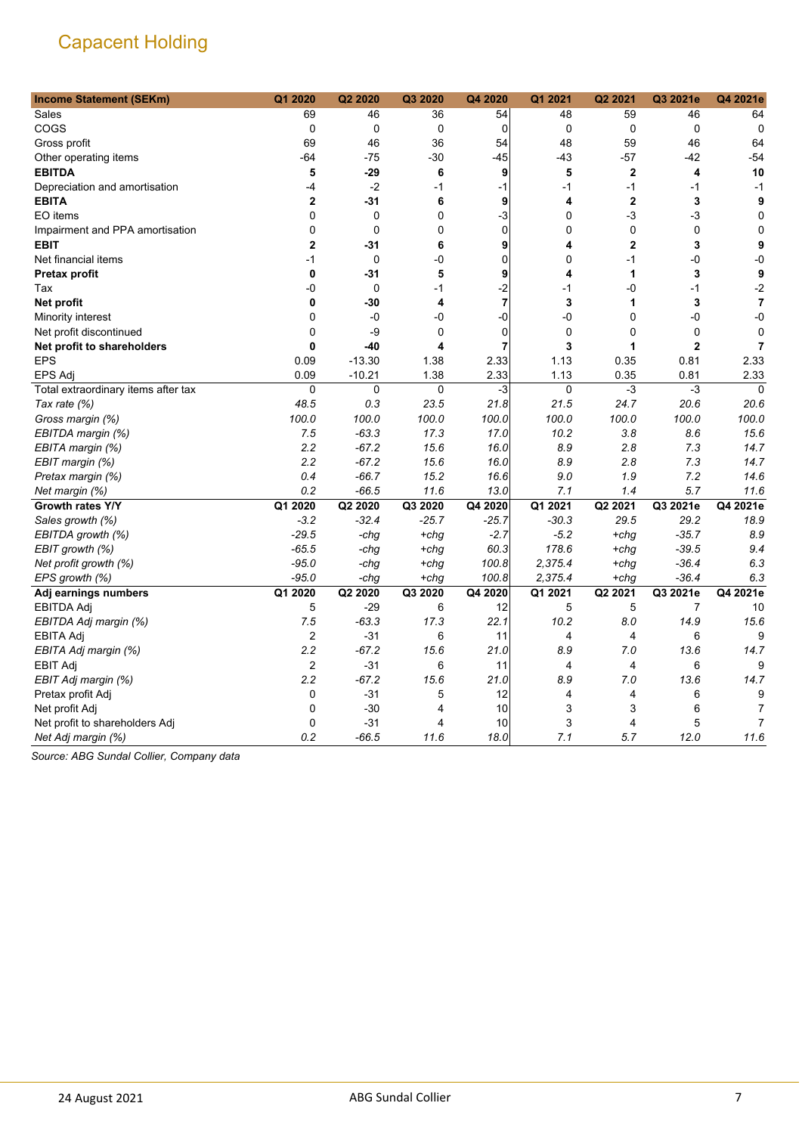| <b>Income Statement (SEKm)</b>      | Q1 2020        | Q2 2020  | Q3 2020 | Q4 2020        | Q1 2021     | Q2 2021        | Q3 2021e       | Q4 2021e       |
|-------------------------------------|----------------|----------|---------|----------------|-------------|----------------|----------------|----------------|
| Sales                               | 69             | 46       | 36      | 54             | 48          | 59             | 46             | 64             |
| COGS                                | $\mathbf 0$    | 0        | 0       | $\Omega$       | $\mathbf 0$ | $\mathbf 0$    | $\mathbf 0$    | $\mathbf 0$    |
| Gross profit                        | 69             | 46       | 36      | 54             | 48          | 59             | 46             | 64             |
| Other operating items               | $-64$          | $-75$    | $-30$   | $-45$          | $-43$       | $-57$          | $-42$          | $-54$          |
| <b>EBITDA</b>                       | 5              | $-29$    | 6       | 9              | 5           | $\mathbf 2$    | 4              | 10             |
| Depreciation and amortisation       | -4             | $-2$     | $-1$    | $-1$           | $-1$        | $-1$           | $-1$           | $-1$           |
| <b>EBITA</b>                        | $\overline{2}$ | $-31$    | 6       | 9              | 4           | $\overline{2}$ | 3              | 9              |
| EO items                            | 0              | 0        | 0       | $-3$           | 0           | $-3$           | $-3$           | $\mathbf 0$    |
| Impairment and PPA amortisation     | $\mathbf 0$    | 0        | 0       | $\mathbf 0$    | 0           | $\mathbf 0$    | $\mathbf 0$    | $\mathbf 0$    |
| <b>EBIT</b>                         | $\mathbf{2}$   | $-31$    | 6       | 9              | 4           | $\overline{2}$ | 3              | 9              |
| Net financial items                 | $-1$           | 0        | -0      | 0              | 0           | $-1$           | $-0$           | $-0$           |
| Pretax profit                       | 0              | $-31$    | 5       | 9              | 4           | 1              | 3              | 9              |
| Tax                                 | -0             | 0        | $-1$    | $-2$           | $-1$        | -0             | $-1$           | $-2$           |
| Net profit                          | 0              | $-30$    | 4       | 7              | 3           | 1              | 3              | $\overline{7}$ |
| Minority interest                   | 0              | $-0$     | -0      | $-0$           | -0          | 0              | $-0$           | $-0$           |
| Net profit discontinued             | $\mathbf 0$    | -9       | 0       | $\mathbf 0$    | 0           | 0              | $\mathbf 0$    | $\mathbf 0$    |
| Net profit to shareholders          | $\mathbf{0}$   | $-40$    | 4       | $\overline{7}$ | 3           | 1              | $\overline{2}$ | $\overline{7}$ |
| <b>EPS</b>                          | 0.09           | $-13.30$ | 1.38    | 2.33           | 1.13        | 0.35           | 0.81           | 2.33           |
| <b>EPS Adj</b>                      | 0.09           | $-10.21$ | 1.38    | 2.33           | 1.13        | 0.35           | 0.81           | 2.33           |
| Total extraordinary items after tax | $\mathbf 0$    | 0        | 0       | $-3$           | $\mathbf 0$ | $-3$           | -3             | $\mathbf 0$    |
| Tax rate (%)                        | 48.5           | 0.3      | 23.5    | 21.8           | 21.5        | 24.7           | 20.6           | 20.6           |
| Gross margin (%)                    | 100.0          | 100.0    | 100.0   | 100.0          | 100.0       | 100.0          | 100.0          | 100.0          |
| EBITDA margin (%)                   | 7.5            | $-63.3$  | 17.3    | 17.0           | 10.2        | 3.8            | 8.6            | 15.6           |
| EBITA margin (%)                    | 2.2            | $-67.2$  | 15.6    | 16.0           | 8.9         | 2.8            | 7.3            | 14.7           |
| EBIT margin (%)                     | 2.2            | $-67.2$  | 15.6    | 16.0           | 8.9         | 2.8            | 7.3            | 14.7           |
| Pretax margin (%)                   | 0.4            | $-66.7$  | 15.2    | 16.6           | 9.0         | 1.9            | 7.2            | 14.6           |
| Net margin (%)                      | 0.2            | $-66.5$  | 11.6    | 13.0           | 7.1         | 1.4            | 5.7            | 11.6           |
| Growth rates Y/Y                    | Q1 2020        | Q2 2020  | Q3 2020 | Q4 2020        | Q1 2021     | Q2 2021        | Q3 2021e       | Q4 2021e       |
| Sales growth (%)                    | $-3.2$         | $-32.4$  | $-25.7$ | $-25.7$        | $-30.3$     | 29.5           | 29.2           | 18.9           |
| EBITDA growth (%)                   | $-29.5$        | -chg     | $+chg$  | $-2.7$         | $-5.2$      | +chg           | $-35.7$        | 8.9            |
| EBIT growth (%)                     | $-65.5$        | -chg     | $+chg$  | 60.3           | 178.6       | +chq           | $-39.5$        | 9.4            |
| Net profit growth (%)               | $-95.0$        | -chg     | $+chg$  | 100.8          | 2,375.4     | $+chg$         | $-36.4$        | 6.3            |
| EPS growth (%)                      | $-95.0$        | -chg     | $+chg$  | 100.8          | 2,375.4     | $+chg$         | $-36.4$        | 6.3            |
| Adj earnings numbers                | Q1 2020        | Q2 2020  | Q3 2020 | Q4 2020        | Q1 2021     | Q2 2021        | Q3 2021e       | Q4 2021e       |
| EBITDA Adj                          | 5              | $-29$    | 6       | 12             | 5           | 5              | 7              | 10             |
| EBITDA Adj margin (%)               | 7.5            | $-63.3$  | 17.3    | 22.1           | 10.2        | 8.0            | 14.9           | 15.6           |
| EBITA Adj                           | $\overline{c}$ | $-31$    | 6       | 11             | 4           | 4              | 6              | 9              |
| EBITA Adj margin (%)                | 2.2            | $-67.2$  | 15.6    | 21.0           | 8.9         | 7.0            | 13.6           | 14.7           |
| <b>EBIT Adj</b>                     | $\overline{c}$ | $-31$    | 6       | 11             | 4           | 4              | 6              | 9              |
| EBIT Adj margin (%)                 | 2.2            | $-67.2$  | 15.6    | 21.0           | 8.9         | 7.0            | 13.6           | 14.7           |
| Pretax profit Adj                   | 0              | $-31$    | 5       | 12             | 4           | 4              | 6              | 9              |
| Net profit Adj                      | $\Omega$       | $-30$    | 4       | 10             | 3           | 3              | 6              | 7              |
| Net profit to shareholders Adj      | 0              | $-31$    | 4       | 10             | 3           | 4              | 5              | $\overline{7}$ |
| Net Adj margin (%)                  | 0.2            | $-66.5$  | 11.6    | 18.0           | 7.1         | 5.7            | 12.0           | 11.6           |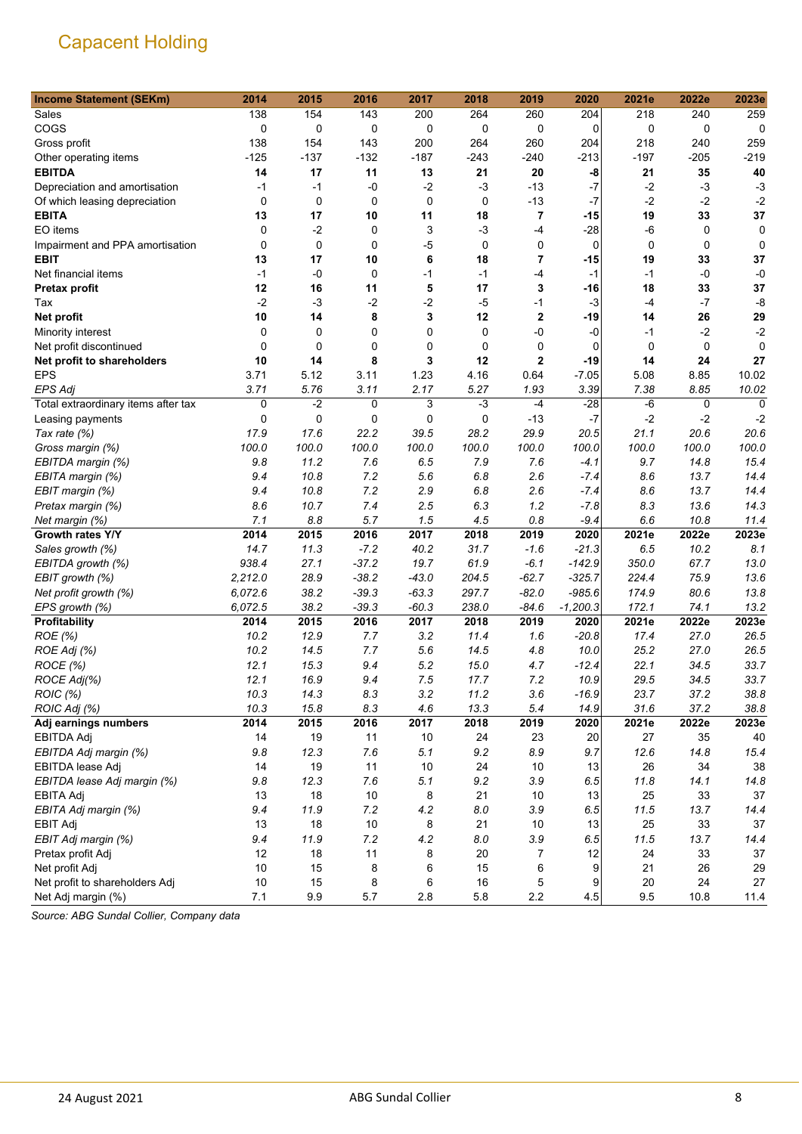| <b>Income Statement (SEKm)</b>      | 2014        | 2015    | 2016     | 2017      | 2018   | 2019                    | 2020        | 2021e       | 2022e       | 2023e       |
|-------------------------------------|-------------|---------|----------|-----------|--------|-------------------------|-------------|-------------|-------------|-------------|
| Sales                               | 138         | 154     | 143      | 200       | 264    | 260                     | 204         | 218         | 240         | 259         |
| COGS                                | 0           | 0       | 0        | 0         | 0      | 0                       | 0           | 0           | 0           | $\mathbf 0$ |
| Gross profit                        | 138         | 154     | 143      | 200       | 264    | 260                     | 204         | 218         | 240         | 259         |
| Other operating items               | $-125$      | $-137$  | $-132$   | $-187$    | $-243$ | $-240$                  | $-213$      | $-197$      | $-205$      | $-219$      |
| <b>EBITDA</b>                       | 14          | 17      | 11       | 13        | 21     | 20                      | -8          | 21          | 35          | 40          |
| Depreciation and amortisation       | $-1$        | $-1$    | $-0$     | $-2$      | $-3$   | $-13$                   | $-7$        | $-2$        | $-3$        | $-3$        |
| Of which leasing depreciation       | $\mathbf 0$ | 0       | 0        | $\pmb{0}$ | 0      | $-13$                   | $-7$        | $-2$        | $-2$        | $-2$        |
| <b>EBITA</b>                        | 13          | 17      | 10       | 11        | 18     | $\overline{\mathbf{r}}$ | $-15$       | 19          | 33          | 37          |
| EO items                            | $\mathbf 0$ | $-2$    | 0        | 3         | $-3$   | $-4$                    | $-28$       | $-6$        | 0           | 0           |
| Impairment and PPA amortisation     | $\Omega$    | 0       | $\Omega$ | -5        | 0      | 0                       | $\mathbf 0$ | $\mathbf 0$ | $\mathbf 0$ | 0           |
| <b>EBIT</b>                         | 13          | 17      | 10       | 6         | 18     | 7                       | -15         | 19          | 33          | 37          |
| Net financial items                 | $-1$        | $-0$    | 0        | $-1$      | $-1$   | $-4$                    | $-1$        | $-1$        | $-0$        | $-0$        |
| <b>Pretax profit</b>                | 12          | 16      | 11       | 5         | 17     | 3                       | -16         | 18          | 33          | 37          |
| Tax                                 | $-2$        | $-3$    | $-2$     | $-2$      | $-5$   | $-1$                    | $-3$        | -4          | $-7$        | -8          |
| Net profit                          | 10          | 14      | 8        | 3         | 12     | $\mathbf 2$             | -19         | 14          | 26          | 29          |
| Minority interest                   | 0           | 0       | 0        | 0         | 0      | -0                      | -0          | -1          | $-2$        | $-2$        |
| Net profit discontinued             | $\mathbf 0$ | 0       | 0        | 0         | 0      | 0                       | $\mathbf 0$ | 0           | 0           | 0           |
| Net profit to shareholders          | 10          | 14      | 8        | 3         | 12     | 2                       | $-19$       | 14          | 24          | 27          |
| <b>EPS</b>                          | 3.71        | 5.12    | 3.11     | 1.23      | 4.16   | 0.64                    | $-7.05$     | 5.08        | 8.85        | 10.02       |
| <b>EPS Adj</b>                      | 3.71        | 5.76    | 3.11     | 2.17      | 5.27   | 1.93                    | 3.39        | 7.38        | 8.85        | 10.02       |
| Total extraordinary items after tax | 0           | $-2$    | 0        | 3         | $-3$   | $-4$                    | $-28$       | -6          | 0           | $\Omega$    |
| Leasing payments                    | 0           | 0       | 0        | 0         | 0      | $-13$                   | $-7$        | $-2$        | $-2$        | $-2$        |
| Tax rate (%)                        | 17.9        | 17.6    | 22.2     | 39.5      | 28.2   | 29.9                    | 20.5        | 21.1        | 20.6        | 20.6        |
| Gross margin (%)                    | 100.0       | 100.0   | 100.0    | 100.0     | 100.0  | 100.0                   | 100.0       | 100.0       | 100.0       | 100.0       |
| EBITDA margin (%)                   | 9.8         | 11.2    | 7.6      | 6.5       | 7.9    | 7.6                     | -4.1        | 9.7         | 14.8        | 15.4        |
| EBITA margin (%)                    | 9.4         | 10.8    | 7.2      | 5.6       | 6.8    | 2.6                     | $-7.4$      | 8.6         | 13.7        | 14.4        |
| EBIT margin (%)                     | 9.4         | 10.8    | 7.2      | 2.9       | 6.8    | 2.6                     | $-7.4$      | 8.6         | 13.7        | 14.4        |
| Pretax margin (%)                   | 8.6         | 10.7    | 7.4      | 2.5       | 6.3    | 1.2                     | $-7.8$      | 8.3         | 13.6        | 14.3        |
| Net margin (%)                      | 7.1         | 8.8     | 5.7      | 1.5       | 4.5    | 0.8                     | $-9.4$      | 6.6         | 10.8        | 11.4        |
| Growth rates Y/Y                    | 2014        | 2015    | 2016     | 2017      | 2018   | 2019                    | 2020        | 2021e       | 2022e       | 2023e       |
| Sales growth (%)                    | 14.7        | 11.3    | $-7.2$   | 40.2      | 31.7   | $-1.6$                  | $-21.3$     | 6.5         | 10.2        | 8.1         |
| EBITDA growth (%)                   | 938.4       | 27.1    | $-37.2$  | 19.7      | 61.9   | $-6.1$                  | $-142.9$    | 350.0       | 67.7        | 13.0        |
| EBIT growth (%)                     | 2,212.0     | 28.9    | $-38.2$  | $-43.0$   | 204.5  | $-62.7$                 | $-325.7$    | 224.4       | 75.9        | 13.6        |
| Net profit growth (%)               | 6,072.6     | 38.2    | $-39.3$  | $-63.3$   | 297.7  | $-82.0$                 | $-985.6$    | 174.9       | 80.6        | 13.8        |
| EPS growth (%)                      | 6,072.5     | 38.2    | $-39.3$  | $-60.3$   | 238.0  | $-84.6$                 | $-1,200.3$  | 172.1       | 74.1        | 13.2        |
| Profitability                       | 2014        | 2015    | 2016     | 2017      | 2018   | 2019                    | 2020        | 2021e       | 2022e       | 2023e       |
| ROE (%)                             | 10.2        | 12.9    | 7.7      | 3.2       | 11.4   | 1.6                     | $-20.8$     | 17.4        | 27.0        | 26.5        |
| ROE Adj (%)                         | 10.2        | 14.5    | 7.7      | 5.6       | 14.5   | 4.8                     | 10.0        | 25.2        | 27.0        | 26.5        |
| ROCE (%)                            | 12.1        | 15.3    | 9.4      | 5.2       | 15.0   | 4.7                     | $-12.4$     | 22.1        | 34.5        | 33.7        |
| ROCE Adj(%)                         | 12.1        | 16.9    | 9.4      | 7.5       | 17.7   | 7.2                     | 10.9        | 29.5        | 34.5        | 33.7        |
| ROIC (%)                            | 10.3        | 14.3    | 8.3      | 3.2       | 11.2   | 3.6                     | $-16.9$     | 23.7        | 37.2        | 38.8        |
| ROIC Adj (%)                        | 10.3        | 15.8    | 8.3      | 4.6       | 13.3   | 5.4                     | 14.9        | 31.6        | 37.2        | 38.8        |
| Adj earnings numbers                | 2014        | 2015    | 2016     | 2017      | 2018   | 2019                    | 2020        | 2021e       | 2022e       | 2023e       |
| <b>EBITDA Adj</b>                   | 14          | 19      | 11       | 10        | 24     | 23                      | 20          | 27          | 35          | 40          |
| EBITDA Adj margin (%)               | 9.8         | 12.3    | 7.6      | 5.1       | 9.2    | 8.9                     | 9.7         | 12.6        | 14.8        | 15.4        |
| EBITDA lease Adj                    | 14          | 19      | 11       | 10        | 24     | 10                      | 13          | 26          | 34          | 38          |
| EBITDA lease Adj margin (%)         | 9.8         | 12.3    | 7.6      | 5.1       | 9.2    | 3.9                     | 6.5         | 11.8        | 14.1        | 14.8        |
| <b>EBITA Adj</b>                    | 13          | 18      | $10$     | 8         | 21     | 10                      | 13          | 25          | 33          | 37          |
| EBITA Adj margin (%)                | 9.4         | 11.9    | 7.2      | 4.2       | 8.0    | 3.9                     | 6.5         | 11.5        | 13.7        | 14.4        |
| <b>EBIT Adj</b>                     | 13          | 18      | $10$     | 8         | 21     | 10                      | 13          | 25          | 33          | 37          |
| EBIT Adj margin (%)                 | 9.4         | 11.9    | 7.2      | 4.2       | 8.0    | 3.9                     | 6.5         | 11.5        | 13.7        | 14.4        |
| Pretax profit Adj                   | 12          | 18      | 11       | 8         | 20     | 7                       | 12          | 24          | 33          | $37\,$      |
| Net profit Adj                      | 10          | 15      | 8        | 6         | 15     | 6                       | 9           | 21          | 26          | 29          |
| Net profit to shareholders Adj      | 10          | 15      | 8        | 6         | 16     | 5                       | 9           | 20          | 24          | 27          |
| Net Adj margin (%)                  | 7.1         | $9.9\,$ | $5.7\,$  | $2.8\,$   | 5.8    | 2.2                     | 4.5         | 9.5         | 10.8        | 11.4        |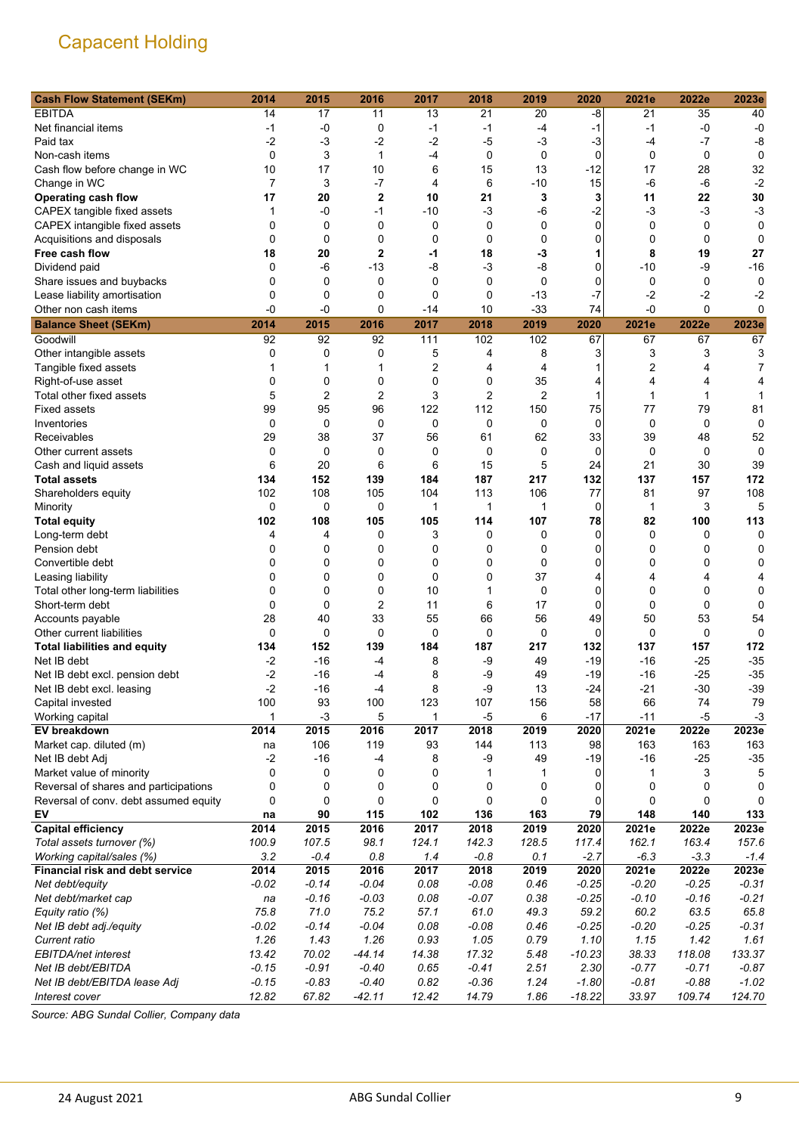| <b>Cash Flow Statement (SEKm)</b>     | 2014           | 2015           | 2016           | 2017        | 2018        | 2019        | 2020              | 2021e        | 2022e       | 2023e      |
|---------------------------------------|----------------|----------------|----------------|-------------|-------------|-------------|-------------------|--------------|-------------|------------|
| <b>EBITDA</b>                         | 14             | 17             | 11             | 13          | 21          | 20          | -8                | 21           | 35          | 40         |
| Net financial items                   | -1             | -0             | 0              | $-1$        | $-1$        | -4          | -1                | $-1$         | -0          | $-0$       |
| Paid tax                              | $-2$           | $-3$           | $-2$           | $-2$        | $-5$        | $-3$        | $-3$              | $-4$         | $-7$        | -8         |
| Non-cash items                        | $\mathbf 0$    | 3              | 1              | $-4$        | $\mathbf 0$ | $\mathbf 0$ | $\mathbf 0$       | 0            | 0           | 0          |
| Cash flow before change in WC         | 10             | 17             | 10             | 6           | 15          | 13          | $-12$             | 17           | 28          | 32         |
| Change in WC                          | $\overline{7}$ | 3              | $-7$           | 4           | 6           | $-10$       | 15                | $-6$         | $-6$        | $-2$       |
| <b>Operating cash flow</b>            | 17             | 20             | $\overline{2}$ | 10          | 21          | 3           | 3                 | 11           | 22          | 30         |
| CAPEX tangible fixed assets           | 1              | $-0$           | $-1$           | $-10$       | $-3$        | $-6$        | $-2$              | $-3$         | $-3$        | $-3$       |
| CAPEX intangible fixed assets         | 0              | $\mathbf 0$    | 0              | 0           | 0           | $\mathbf 0$ | 0                 | 0            | 0           | 0          |
| Acquisitions and disposals            | $\mathbf 0$    | $\mathbf 0$    | 0              | 0           | 0           | 0           | 0                 | 0            | $\mathbf 0$ | 0          |
| Free cash flow                        | 18             | 20             | $\overline{2}$ | -1          | 18          | -3          | 1                 | 8            | 19          | 27         |
| Dividend paid                         | 0              | -6             | $-13$          | -8          | $-3$        | $-8$        | 0                 | $-10$        | -9          | $-16$      |
| Share issues and buybacks             | 0              | 0              | $\mathbf 0$    | $\mathbf 0$ | $\mathbf 0$ | $\mathbf 0$ | 0                 | 0            | 0           | 0          |
| Lease liability amortisation          | 0              | 0              | 0              | 0           | $\mathbf 0$ | $-13$       | $-7$              | $-2$         | $-2$        | -2         |
| Other non cash items                  | -0             | $-0$           | 0              | -14         | 10          | $-33$       | 74                | -0           | 0           | 0          |
| <b>Balance Sheet (SEKm)</b>           | 2014           | 2015           | 2016           | 2017        | 2018        | 2019        | 2020              | 2021e        | 2022e       | 2023e      |
| Goodwill                              | 92             | 92             | 92             | 111         | 102         | 102         | 67                | 67           | 67          | 67         |
| Other intangible assets               | 0              | 0              | 0              | 5           | 4           | 8           | 3                 | 3            | 3           | 3          |
| Tangible fixed assets                 |                | 1              | 1              | 2           | 4           | 4           |                   | 2            | 4           | 7          |
| Right-of-use asset                    | 0              | $\mathbf 0$    | 0              | 0           | 0           | 35          | 4                 | 4            | 4           | 4          |
| Total other fixed assets              | 5              | $\overline{2}$ | $\overline{2}$ | 3           | 2           | 2           | 1                 | $\mathbf{1}$ | 1           |            |
| <b>Fixed assets</b>                   | 99             | 95             | 96             | 122         | 112         | 150         | 75                | 77           | 79          | 81         |
|                                       | $\mathbf 0$    | $\mathbf 0$    | $\mathbf 0$    | 0           | $\mathbf 0$ | $\mathbf 0$ | $\mathbf 0$       | 0            | $\mathbf 0$ | 0          |
| Inventories<br>Receivables            |                | 38             | 37             | 56          | 61          | 62          |                   | 39           | 48          |            |
|                                       | 29<br>0        | 0              | 0              | 0           | 0           | 0           | 33<br>$\mathbf 0$ | 0            | 0           | 52<br>0    |
| Other current assets                  | 6              | 20             | 6              | 6           |             | 5           | 24                | 21           | 30          |            |
| Cash and liquid assets                |                |                |                |             | 15          |             |                   |              |             | 39         |
| <b>Total assets</b>                   | 134<br>102     | 152<br>108     | 139<br>105     | 184<br>104  | 187<br>113  | 217<br>106  | 132<br>77         | 137          | 157<br>97   | 172<br>108 |
| Shareholders equity                   |                |                |                |             |             |             |                   | 81           |             |            |
| Minority                              | 0              | $\mathbf 0$    | $\mathbf 0$    | 1           | 1           | 1           | 0                 | $\mathbf{1}$ | 3           | 5          |
| <b>Total equity</b>                   | 102            | 108            | 105            | 105         | 114         | 107         | 78                | 82           | 100         | 113        |
| Long-term debt                        | 4              | 4              | 0              | 3           | 0           | 0           | 0                 | 0            | 0           | 0          |
| Pension debt                          | 0              | 0              | 0              | 0           | 0           | 0           | 0                 | 0            | 0           | 0          |
| Convertible debt                      | 0              | 0              | 0              | 0           | 0           | 0           | 0                 | 0            | 0           | 0          |
| Leasing liability                     | 0              | $\mathbf 0$    | 0              | 0           | 0           | 37          | 4                 | 4            | 4           | 4          |
| Total other long-term liabilities     | 0              | $\mathbf 0$    | 0              | 10          | 1           | $\mathbf 0$ | 0                 | 0            | 0           | 0          |
| Short-term debt                       | 0              | $\mathbf 0$    | $\overline{2}$ | 11          | 6           | 17          | 0                 | 0            | $\mathbf 0$ | 0          |
| Accounts payable                      | 28             | 40             | 33             | 55          | 66          | 56          | 49                | 50           | 53          | 54         |
| Other current liabilities             | $\mathbf 0$    | $\mathbf 0$    | 0              | 0           | 0           | 0           | 0                 | 0            | $\mathbf 0$ | 0          |
| <b>Total liabilities and equity</b>   | 134            | 152            | 139            | 184         | 187         | 217         | 132               | 137          | 157         | 172        |
| Net IB debt                           | $-2$           | $-16$          | $-4$           | 8           | -9          | 49          | $-19$             | -16          | $-25$       | $-35$      |
| Net IB debt excl. pension debt        | $-2$           | $-16$          | $-4$           | 8           | -9          | 49          | $-19$             | -16          | $-25$       | $-35$      |
| Net IB debt excl. leasing             | -2             | $-16$          | -4             | 8           | -9          | 13          | $-24$             | $-21$        | $-30$       | $-39$      |
| Capital invested                      | 100            | 93             | 100            | 123         | 107         | 156         | 58                | 66           | 74          | 79         |
| Working capital                       | 1              | $-3$           | 5              | 1           | $-5$        | 6           | $-17$             | $-11$        | $-5$        | $-3$       |
| EV breakdown                          | 2014           | 2015           | 2016           | 2017        | 2018        | 2019        | 2020              | 2021e        | 2022e       | 2023e      |
| Market cap. diluted (m)               | na             | 106            | 119            | 93          | 144         | 113         | 98                | 163          | 163         | 163        |
| Net IB debt Adj                       | $-2$           | $-16$          | $-4$           | 8           | -9          | 49          | $-19$             | -16          | $-25$       | $-35$      |
| Market value of minority              | 0              | 0              | 0              | 0           | 1           | 1           | 0                 | 1            | 3           | 5          |
| Reversal of shares and participations | 0              | 0              | 0              | 0           | 0           | 0           | 0                 | 0            | 0           | 0          |
| Reversal of conv. debt assumed equity | 0              | 0              | 0              | 0           | $\mathbf 0$ | 0           | 0                 | 0            | 0           | 0          |
| EV                                    | na             | 90             | 115            | 102         | 136         | 163         | 79                | 148          | 140         | 133        |
| <b>Capital efficiency</b>             | 2014           | 2015           | 2016           | 2017        | 2018        | 2019        | 2020              | 2021e        | 2022e       | 2023e      |
| Total assets turnover (%)             | 100.9          | 107.5          | 98.1           | 124.1       | 142.3       | 128.5       | 117.4             | 162.1        | 163.4       | 157.6      |
| Working capital/sales (%)             | 3.2            | $-0.4$         | 0.8            | 1.4         | $-0.8$      | 0.1         | $-2.7$            | $-6.3$       | $-3.3$      | $-1.4$     |
| Financial risk and debt service       | 2014           | 2015           | 2016           | 2017        | 2018        | 2019        | 2020              | 2021e        | 2022e       | 2023e      |
| Net debt/equity                       | $-0.02$        | $-0.14$        | $-0.04$        | 0.08        | $-0.08$     | 0.46        | $-0.25$           | $-0.20$      | $-0.25$     | $-0.31$    |
| Net debt/market cap                   | na             | $-0.16$        | $-0.03$        | 0.08        | $-0.07$     | 0.38        | $-0.25$           | $-0.10$      | $-0.16$     | $-0.21$    |
| Equity ratio (%)                      | 75.8           | 71.0           | 75.2           | 57.1        | 61.0        | 49.3        | 59.2              | 60.2         | 63.5        | 65.8       |
| Net IB debt adj./equity               | $-0.02$        | $-0.14$        | $-0.04$        | 0.08        | $-0.08$     | 0.46        | $-0.25$           | $-0.20$      | $-0.25$     | $-0.31$    |
| Current ratio                         | 1.26           | 1.43           | 1.26           | 0.93        | 1.05        | 0.79        | 1.10              | 1.15         | 1.42        | 1.61       |
| EBITDA/net interest                   | 13.42          | 70.02          | $-44.14$       | 14.38       | 17.32       | 5.48        | $-10.23$          | 38.33        | 118.08      | 133.37     |
| Net IB debt/EBITDA                    | $-0.15$        | $-0.91$        | $-0.40$        | 0.65        | $-0.41$     | 2.51        | 2.30              | $-0.77$      | $-0.71$     | $-0.87$    |
| Net IB debt/EBITDA lease Adj          | $-0.15$        | $-0.83$        | $-0.40$        | 0.82        | $-0.36$     | 1.24        | $-1.80$           | $-0.81$      | $-0.88$     | $-1.02$    |
| Interest cover                        | 12.82          | 67.82          | $-42.11$       | 12.42       | 14.79       | 1.86        | $-18.22$          | 33.97        | 109.74      | 124.70     |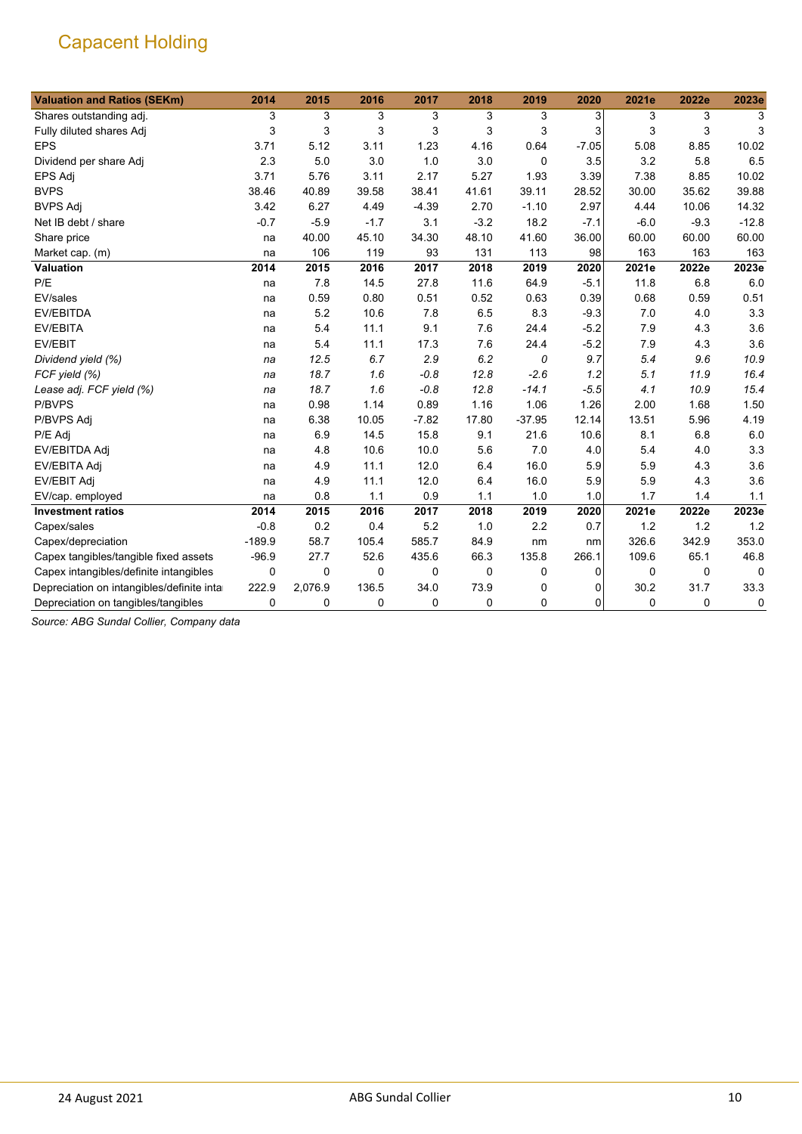| <b>Valuation and Ratios (SEKm)</b>         | 2014     | 2015     | 2016        | 2017        | 2018        | 2019     | 2020    | 2021e  | 2022e       | 2023e    |
|--------------------------------------------|----------|----------|-------------|-------------|-------------|----------|---------|--------|-------------|----------|
| Shares outstanding adj.                    | 3        | 3        | 3           | 3           | 3           | 3        | 3       | 3      | 3           | 3        |
| Fully diluted shares Adj                   | 3        | 3        | 3           | 3           | 3           | 3        | 3       | 3      | 3           | 3        |
| <b>EPS</b>                                 | 3.71     | 5.12     | 3.11        | 1.23        | 4.16        | 0.64     | $-7.05$ | 5.08   | 8.85        | 10.02    |
| Dividend per share Adj                     | 2.3      | 5.0      | 3.0         | 1.0         | 3.0         | 0        | 3.5     | 3.2    | 5.8         | 6.5      |
| EPS Adj                                    | 3.71     | 5.76     | 3.11        | 2.17        | 5.27        | 1.93     | 3.39    | 7.38   | 8.85        | 10.02    |
| <b>BVPS</b>                                | 38.46    | 40.89    | 39.58       | 38.41       | 41.61       | 39.11    | 28.52   | 30.00  | 35.62       | 39.88    |
| <b>BVPS Adj</b>                            | 3.42     | 6.27     | 4.49        | $-4.39$     | 2.70        | $-1.10$  | 2.97    | 4.44   | 10.06       | 14.32    |
| Net IB debt / share                        | $-0.7$   | $-5.9$   | $-1.7$      | 3.1         | $-3.2$      | 18.2     | $-7.1$  | $-6.0$ | $-9.3$      | $-12.8$  |
| Share price                                | na       | 40.00    | 45.10       | 34.30       | 48.10       | 41.60    | 36.00   | 60.00  | 60.00       | 60.00    |
| Market cap. (m)                            | na       | 106      | 119         | 93          | 131         | 113      | 98      | 163    | 163         | 163      |
| <b>Valuation</b>                           | 2014     | 2015     | 2016        | 2017        | 2018        | 2019     | 2020    | 2021e  | 2022e       | 2023e    |
| P/E                                        | na       | 7.8      | 14.5        | 27.8        | 11.6        | 64.9     | $-5.1$  | 11.8   | 6.8         | 6.0      |
| EV/sales                                   | na       | 0.59     | 0.80        | 0.51        | 0.52        | 0.63     | 0.39    | 0.68   | 0.59        | 0.51     |
| <b>EV/EBITDA</b>                           | na       | 5.2      | 10.6        | 7.8         | 6.5         | 8.3      | $-9.3$  | 7.0    | 4.0         | 3.3      |
| EV/EBITA                                   | na       | 5.4      | 11.1        | 9.1         | 7.6         | 24.4     | $-5.2$  | 7.9    | 4.3         | 3.6      |
| EV/EBIT                                    | na       | 5.4      | 11.1        | 17.3        | 7.6         | 24.4     | $-5.2$  | 7.9    | 4.3         | 3.6      |
| Dividend yield (%)                         | na       | 12.5     | 6.7         | 2.9         | 6.2         | 0        | 9.7     | 5.4    | 9.6         | 10.9     |
| FCF yield (%)                              | na       | 18.7     | 1.6         | $-0.8$      | 12.8        | $-2.6$   | 1.2     | 5.1    | 11.9        | 16.4     |
| Lease adj. FCF yield (%)                   | na       | 18.7     | 1.6         | $-0.8$      | 12.8        | $-14.1$  | $-5.5$  | 4.1    | 10.9        | 15.4     |
| P/BVPS                                     | na       | 0.98     | 1.14        | 0.89        | 1.16        | 1.06     | 1.26    | 2.00   | 1.68        | 1.50     |
| P/BVPS Adj                                 | na       | 6.38     | 10.05       | $-7.82$     | 17.80       | $-37.95$ | 12.14   | 13.51  | 5.96        | 4.19     |
| P/E Adj                                    | na       | 6.9      | 14.5        | 15.8        | 9.1         | 21.6     | 10.6    | 8.1    | 6.8         | 6.0      |
| EV/EBITDA Adj                              | na       | 4.8      | 10.6        | 10.0        | 5.6         | 7.0      | 4.0     | 5.4    | 4.0         | 3.3      |
| EV/EBITA Adj                               | na       | 4.9      | 11.1        | 12.0        | 6.4         | 16.0     | 5.9     | 5.9    | 4.3         | 3.6      |
| <b>EV/EBIT Adj</b>                         | na       | 4.9      | 11.1        | 12.0        | 6.4         | 16.0     | 5.9     | 5.9    | 4.3         | 3.6      |
| EV/cap. employed                           | na       | 0.8      | 1.1         | 0.9         | 1.1         | 1.0      | 1.0     | 1.7    | 1.4         | 1.1      |
| <b>Investment ratios</b>                   | 2014     | 2015     | 2016        | 2017        | 2018        | 2019     | 2020    | 2021e  | 2022e       | 2023e    |
| Capex/sales                                | $-0.8$   | 0.2      | 0.4         | 5.2         | 1.0         | 2.2      | 0.7     | 1.2    | 1.2         | 1.2      |
| Capex/depreciation                         | $-189.9$ | 58.7     | 105.4       | 585.7       | 84.9        | nm       | nm      | 326.6  | 342.9       | 353.0    |
| Capex tangibles/tangible fixed assets      | $-96.9$  | 27.7     | 52.6        | 435.6       | 66.3        | 135.8    | 266.1   | 109.6  | 65.1        | 46.8     |
| Capex intangibles/definite intangibles     | 0        | $\Omega$ | $\Omega$    | $\mathbf 0$ | $\mathbf 0$ | 0        | 0       | 0      | $\mathbf 0$ | $\Omega$ |
| Depreciation on intangibles/definite intar | 222.9    | 2,076.9  | 136.5       | 34.0        | 73.9        | 0        | 0       | 30.2   | 31.7        | 33.3     |
| Depreciation on tangibles/tangibles        | 0        | 0        | $\mathbf 0$ | 0           | $\mathbf 0$ | 0        | 0       | 0      | 0           | 0        |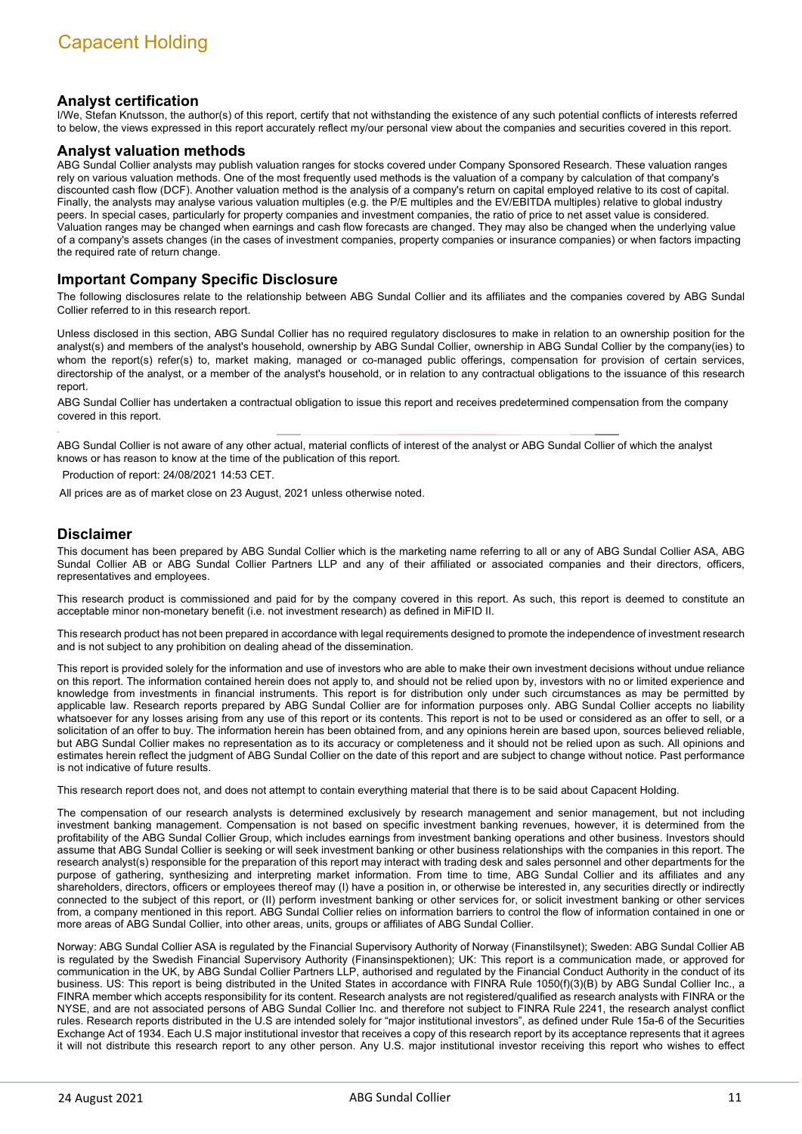#### **Analyst certification**

I/We, Stefan Knutsson, the author(s) of this report, certify that not withstanding the existence of any such potential conflicts of interests referred to below, the views expressed in this report accurately reflect my/our personal view about the companies and securities covered in this report.

#### **Analyst valuation methods**

ABG Sundal Collier analysts may publish valuation ranges for stocks covered under Company Sponsored Research. These valuation ranges rely on various valuation methods. One of the most frequently used methods is the valuation of a company by calculation of that company's discounted cash flow (DCF). Another valuation method is the analysis of a company's return on capital employed relative to its cost of capital. Finally, the analysts may analyse various valuation multiples (e.g. the P/E multiples and the EV/EBITDA multiples) relative to global industry peers. In special cases, particularly for property companies and investment companies, the ratio of price to net asset value is considered. Valuation ranges may be changed when earnings and cash flow forecasts are changed. They may also be changed when the underlying value of a company's assets changes (in the cases of investment companies, property companies or insurance companies) or when factors impacting the required rate of return change.

#### **Important Company Specific Disclosure**

The following disclosures relate to the relationship between ABG Sundal Collier and its affiliates and the companies covered by ABG Sundal Collier referred to in this research report.

Unless disclosed in this section, ABG Sundal Collier has no required regulatory disclosures to make in relation to an ownership position for the analyst(s) and members of the analyst's household, ownership by ABG Sundal Collier, ownership in ABG Sundal Collier by the company(ies) to whom the report(s) refer(s) to, market making, managed or co-managed public offerings, compensation for provision of certain services, directorship of the analyst, or a member of the analyst's household, or in relation to any contractual obligations to the issuance of this research report.

ABG Sundal Collier has undertaken a contractual obligation to issue this report and receives predetermined compensation from the company covered in this report.

ABG Sundal Collier is not aware of any other actual, material conflicts of interest of the analyst or ABG Sundal Collier of which the analyst knows or has reason to know at the time of the publication of this report.

Production of report: 24/08/2021 14:53 CET.

All prices are as of market close on 23 August, 2021 unless otherwise noted.

#### **Disclaimer**

This document has been prepared by ABG Sundal Collier which is the marketing name referring to all or any of ABG Sundal Collier ASA, ABG Sundal Collier AB or ABG Sundal Collier Partners LLP and any of their affiliated or associated companies and their directors, officers, representatives and employees.

This research product is commissioned and paid for by the company covered in this report. As such, this report is deemed to constitute an acceptable minor non-monetary benefit (i.e. not investment research) as defined in MiFID II.

This research product has not been prepared in accordance with legal requirements designed to promote the independence of investment research and is not subject to any prohibition on dealing ahead of the dissemination.

This report is provided solely for the information and use of investors who are able to make their own investment decisions without undue reliance on this report. The information contained herein does not apply to, and should not be relied upon by, investors with no or limited experience and knowledge from investments in financial instruments. This report is for distribution only under such circumstances as may be permitted by applicable law. Research reports prepared by ABG Sundal Collier are for information purposes only. ABG Sundal Collier accepts no liability whatsoever for any losses arising from any use of this report or its contents. This report is not to be used or considered as an offer to sell, or a solicitation of an offer to buy. The information herein has been obtained from, and any opinions herein are based upon, sources believed reliable, but ABG Sundal Collier makes no representation as to its accuracy or completeness and it should not be relied upon as such. All opinions and estimates herein reflect the judgment of ABG Sundal Collier on the date of this report and are subject to change without notice. Past performance is not indicative of future results.

This research report does not, and does not attempt to contain everything material that there is to be said about Capacent Holding.

The compensation of our research analysts is determined exclusively by research management and senior management, but not including investment banking management. Compensation is not based on specific investment banking revenues, however, it is determined from the profitability of the ABG Sundal Collier Group, which includes earnings from investment banking operations and other business. Investors should assume that ABG Sundal Collier is seeking or will seek investment banking or other business relationships with the companies in this report. The research analyst(s) responsible for the preparation of this report may interact with trading desk and sales personnel and other departments for the purpose of gathering, synthesizing and interpreting market information. From time to time, ABG Sundal Collier and its affiliates and any shareholders, directors, officers or employees thereof may (I) have a position in, or otherwise be interested in, any securities directly or indirectly connected to the subject of this report, or (II) perform investment banking or other services for, or solicit investment banking or other services from, a company mentioned in this report. ABG Sundal Collier relies on information barriers to control the flow of information contained in one or more areas of ABG Sundal Collier, into other areas, units, groups or affiliates of ABG Sundal Collier.

Norway: ABG Sundal Collier ASA is regulated by the Financial Supervisory Authority of Norway (Finanstilsynet); Sweden: ABG Sundal Collier AB is regulated by the Swedish Financial Supervisory Authority (Finansinspektionen); UK: This report is a communication made, or approved for communication in the UK, by ABG Sundal Collier Partners LLP, authorised and regulated by the Financial Conduct Authority in the conduct of its business. US: This report is being distributed in the United States in accordance with FINRA Rule 1050(f)(3)(B) by ABG Sundal Collier Inc., a FINRA member which accepts responsibility for its content. Research analysts are not registered/qualified as research analysts with FINRA or the NYSE, and are not associated persons of ABG Sundal Collier Inc. and therefore not subject to FINRA Rule 2241, the research analyst conflict rules. Research reports distributed in the U.S are intended solely for "major institutional investors", as defined under Rule 15a-6 of the Securities Exchange Act of 1934. Each U.S major institutional investor that receives a copy of this research report by its acceptance represents that it agrees it will not distribute this research report to any other person. Any U.S. major institutional investor receiving this report who wishes to effect